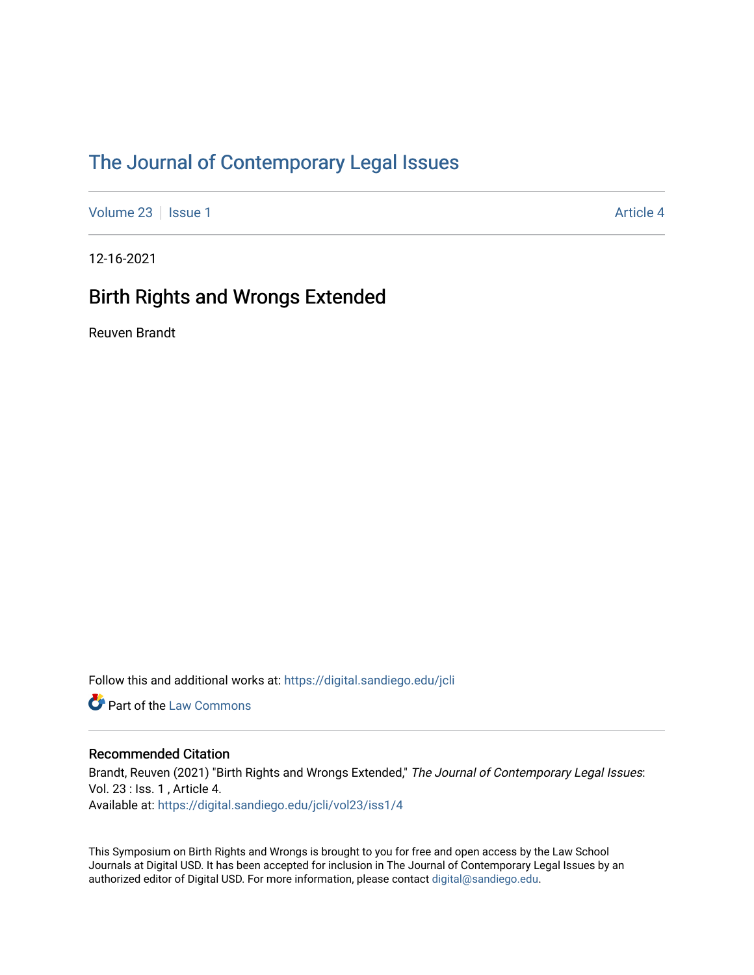# [The Journal of Contemporary Legal Issues](https://digital.sandiego.edu/jcli)

[Volume 23](https://digital.sandiego.edu/jcli/vol23) | [Issue 1](https://digital.sandiego.edu/jcli/vol23/iss1) Article 4

12-16-2021

### Birth Rights and Wrongs Extended

Reuven Brandt

Follow this and additional works at: [https://digital.sandiego.edu/jcli](https://digital.sandiego.edu/jcli?utm_source=digital.sandiego.edu%2Fjcli%2Fvol23%2Fiss1%2F4&utm_medium=PDF&utm_campaign=PDFCoverPages) 

**Part of the [Law Commons](http://network.bepress.com/hgg/discipline/578?utm_source=digital.sandiego.edu%2Fjcli%2Fvol23%2Fiss1%2F4&utm_medium=PDF&utm_campaign=PDFCoverPages)** 

### Recommended Citation

Brandt, Reuven (2021) "Birth Rights and Wrongs Extended," The Journal of Contemporary Legal Issues: Vol. 23 : Iss. 1 , Article 4. Available at: [https://digital.sandiego.edu/jcli/vol23/iss1/4](https://digital.sandiego.edu/jcli/vol23/iss1/4?utm_source=digital.sandiego.edu%2Fjcli%2Fvol23%2Fiss1%2F4&utm_medium=PDF&utm_campaign=PDFCoverPages)

This Symposium on Birth Rights and Wrongs is brought to you for free and open access by the Law School Journals at Digital USD. It has been accepted for inclusion in The Journal of Contemporary Legal Issues by an authorized editor of Digital USD. For more information, please contact [digital@sandiego.edu](mailto:digital@sandiego.edu).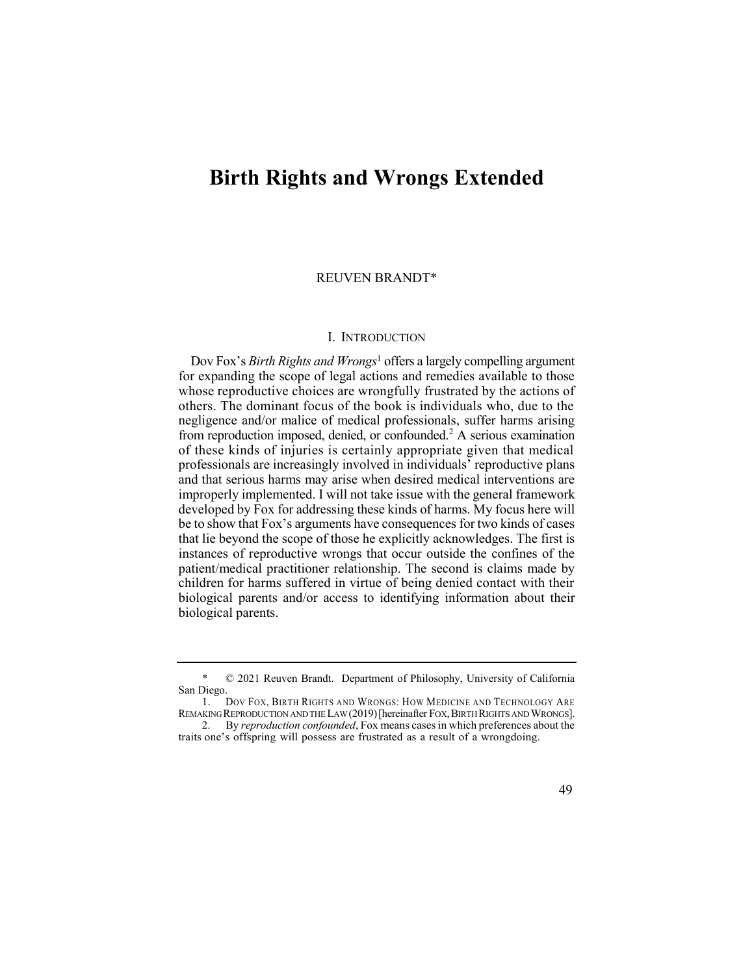## **Birth Rights and Wrongs Extended**

#### REUVEN BRANDT\*

#### I. INTRODUCTION

 Dov Fox's *Birth Rights and Wrongs*1 offers a largely compelling argument from reproduction imposed, denied, or confounded.<sup>2</sup> A serious examination for expanding the scope of legal actions and remedies available to those whose reproductive choices are wrongfully frustrated by the actions of others. The dominant focus of the book is individuals who, due to the negligence and/or malice of medical professionals, suffer harms arising of these kinds of injuries is certainly appropriate given that medical professionals are increasingly involved in individuals' reproductive plans and that serious harms may arise when desired medical interventions are improperly implemented. I will not take issue with the general framework developed by Fox for addressing these kinds of harms. My focus here will be to show that Fox's arguments have consequences for two kinds of cases that lie beyond the scope of those he explicitly acknowledges. The first is instances of reproductive wrongs that occur outside the confines of the patient/medical practitioner relationship. The second is claims made by children for harms suffered in virtue of being denied contact with their biological parents and/or access to identifying information about their biological parents.

 2. By *reproduction confounded*, Fox means cases in which preferences about the traits one's offspring will possess are frustrated as a result of a wrongdoing.



 \* © 2021 Reuven Brandt. Department of Philosophy, University of California San Diego.

 1. DOV FOX, BIRTH RIGHTS AND WRONGS: HOW MEDICINE AND TECHNOLOGY ARE REMAKING REPRODUCTION AND THE LAW (2019) [hereinafter FOX, BIRTH RIGHTS AND WRONGS].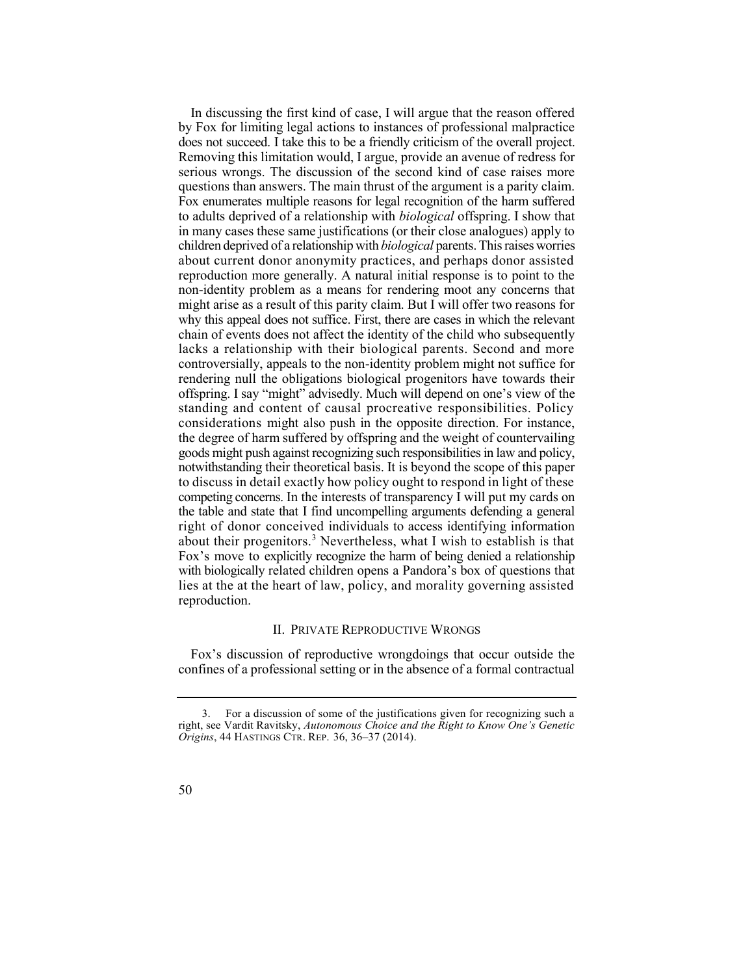In discussing the first kind of case, I will argue that the reason offered by Fox for limiting legal actions to instances of professional malpractice does not succeed. I take this to be a friendly criticism of the overall project. Removing this limitation would, I argue, provide an avenue of redress for serious wrongs. The discussion of the second kind of case raises more questions than answers. The main thrust of the argument is a parity claim. Fox enumerates multiple reasons for legal recognition of the harm suffered to adults deprived of a relationship with *biological* offspring. I show that in many cases these same justifications (or their close analogues) apply to children deprived of a relationship with *biological* parents. This raises worries about current donor anonymity practices, and perhaps donor assisted reproduction more generally. A natural initial response is to point to the non-identity problem as a means for rendering moot any concerns that might arise as a result of this parity claim. But I will offer two reasons for why this appeal does not suffice. First, there are cases in which the relevant lacks a relationship with their biological parents. Second and more controversially, appeals to the non-identity problem might not suffice for rendering null the obligations biological progenitors have towards their about their progenitors.<sup>3</sup> Nevertheless, what I wish to establish is that chain of events does not affect the identity of the child who subsequently offspring. I say "might" advisedly. Much will depend on one's view of the standing and content of causal procreative responsibilities. Policy considerations might also push in the opposite direction. For instance, the degree of harm suffered by offspring and the weight of countervailing goods might push against recognizing such responsibilities in law and policy, notwithstanding their theoretical basis. It is beyond the scope of this paper to discuss in detail exactly how policy ought to respond in light of these competing concerns. In the interests of transparency I will put my cards on the table and state that I find uncompelling arguments defending a general right of donor conceived individuals to access identifying information Fox's move to explicitly recognize the harm of being denied a relationship with biologically related children opens a Pandora's box of questions that lies at the at the heart of law, policy, and morality governing assisted reproduction.

#### II. PRIVATE REPRODUCTIVE WRONGS

 Fox's discussion of reproductive wrongdoings that occur outside the confines of a professional setting or in the absence of a formal contractual

 3. For a discussion of some of the justifications given for recognizing such a right, see Vardit Ravitsky, *Autonomous Choice and the Right to Know One's Genetic Origins*, 44 HASTINGS CTR. REP. 36, 36–37 (2014).

<sup>50</sup>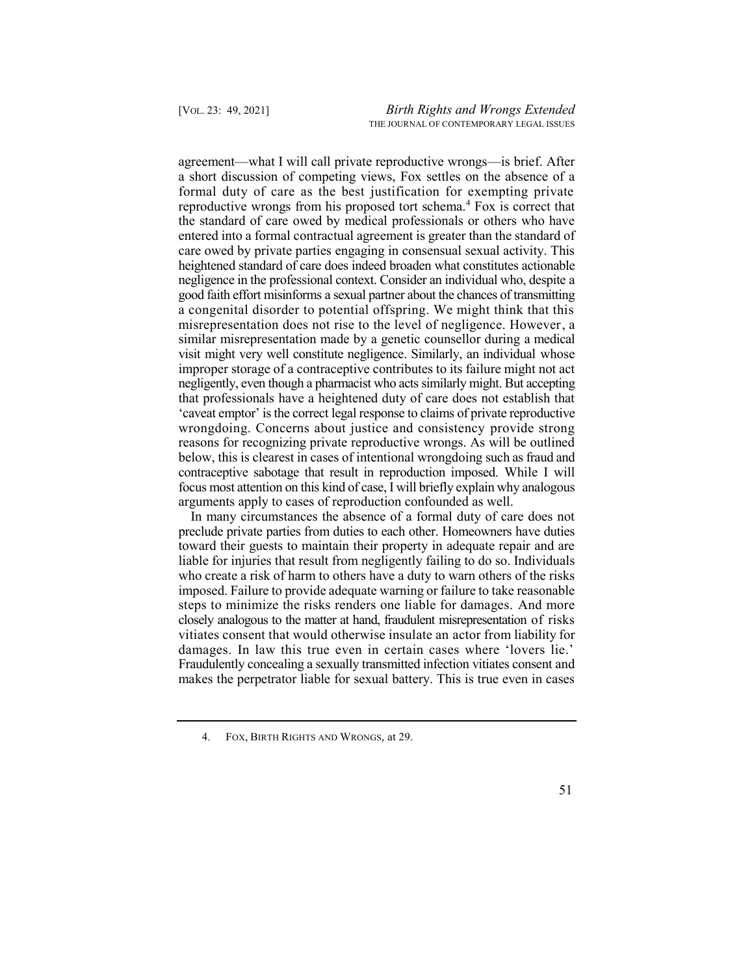agreement—what I will call private reproductive wrongs—is brief. After reproductive wrongs from his proposed tort schema.<sup>4</sup> Fox is correct that a congenital disorder to potential offspring. We might think that this misrepresentation does not rise to the level of negligence. However, a similar misrepresentation made by a genetic counsellor during a medical visit might very well constitute negligence. Similarly, an individual whose improper storage of a contraceptive contributes to its failure might not act negligently, even though a pharmacist who acts similarly might. But accepting that professionals have a heightened duty of care does not establish that 'caveat emptor' is the correct legal response to claims of private reproductive wrongdoing. Concerns about justice and consistency provide strong reasons for recognizing private reproductive wrongs. As will be outlined below, this is clearest in cases of intentional wrongdoing such as fraud and contraceptive sabotage that result in reproduction imposed. While I will focus most attention on this kind of case, I will briefly explain why analogous a short discussion of competing views, Fox settles on the absence of a formal duty of care as the best justification for exempting private the standard of care owed by medical professionals or others who have entered into a formal contractual agreement is greater than the standard of care owed by private parties engaging in consensual sexual activity. This heightened standard of care does indeed broaden what constitutes actionable negligence in the professional context. Consider an individual who, despite a good faith effort misinforms a sexual partner about the chances of transmitting arguments apply to cases of reproduction confounded as well.

 In many circumstances the absence of a formal duty of care does not preclude private parties from duties to each other. Homeowners have duties toward their guests to maintain their property in adequate repair and are who create a risk of harm to others have a duty to warn others of the risks imposed. Failure to provide adequate warning or failure to take reasonable steps to minimize the risks renders one liable for damages. And more closely analogous to the matter at hand, fraudulent misrepresentation of risks vitiates consent that would otherwise insulate an actor from liability for damages. In law this true even in certain cases where 'lovers lie.' Fraudulently concealing a sexually transmitted infection vitiates consent and makes the perpetrator liable for sexual battery. This is true even in cases liable for injuries that result from negligently failing to do so. Individuals

 4. FOX, BIRTH RIGHTS AND WRONGS, at 29.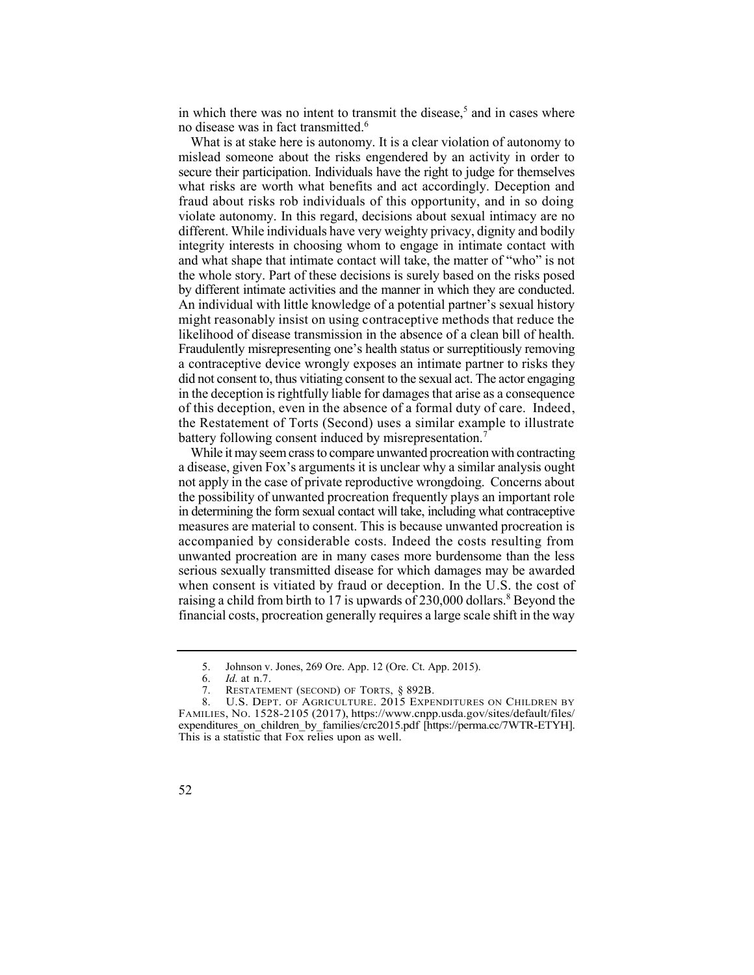in which there was no intent to transmit the disease,<sup>5</sup> and in cases where no disease was in fact transmitted.6

 What is at stake here is autonomy. It is a clear violation of autonomy to mislead someone about the risks engendered by an activity in order to secure their participation. Individuals have the right to judge for themselves fraud about risks rob individuals of this opportunity, and in so doing violate autonomy. In this regard, decisions about sexual intimacy are no different. While individuals have very weighty privacy, dignity and bodily integrity interests in choosing whom to engage in intimate contact with by different intimate activities and the manner in which they are conducted. An individual with little knowledge of a potential partner's sexual history might reasonably insist on using contraceptive methods that reduce the Fraudulently misrepresenting one's health status or surreptitiously removing a contraceptive device wrongly exposes an intimate partner to risks they did not consent to, thus vitiating consent to the sexual act. The actor engaging in the deception is rightfully liable for damages that arise as a consequence of this deception, even in the absence of a formal duty of care. Indeed, the Restatement of Torts (Second) uses a similar example to illustrate battery following consent induced by misrepresentation.<sup>7</sup> what risks are worth what benefits and act accordingly. Deception and and what shape that intimate contact will take, the matter of "who" is not the whole story. Part of these decisions is surely based on the risks posed likelihood of disease transmission in the absence of a clean bill of health.

 While it may seem crass to compare unwanted procreation with contracting a disease, given Fox's arguments it is unclear why a similar analysis ought not apply in the case of private reproductive wrongdoing. Concerns about the possibility of unwanted procreation frequently plays an important role raising a child from birth to 17 is upwards of  $230,000$  dollars.<sup>8</sup> Beyond the in determining the form sexual contact will take, including what contraceptive measures are material to consent. This is because unwanted procreation is accompanied by considerable costs. Indeed the costs resulting from unwanted procreation are in many cases more burdensome than the less serious sexually transmitted disease for which damages may be awarded when consent is vitiated by fraud or deception. In the U.S. the cost of financial costs, procreation generally requires a large scale shift in the way

 5. Johnson v. Jones, 269 Ore. App. 12 (Ore. Ct. App. 2015).

<sup>6.</sup> *Id.* at n.7.

<sup>7.</sup> RESTATEMENT (SECOND) OF TORTS, § 892B.

<sup>8.</sup> U.S. DEPT. OF AGRICULTURE. 2015 EXPENDITURES ON CHILDREN BY FAMILIES, NO. 1528-2105 (2017),<https://www.cnpp.usda.gov/sites/default/files>/ expenditures on children by families/crc2015.pdf [\[https://perma.cc/7WTR-ETYH\]](https://perma.cc/7WTR-ETYH). This is a statistic that Fox relies upon as well.

<sup>52</sup>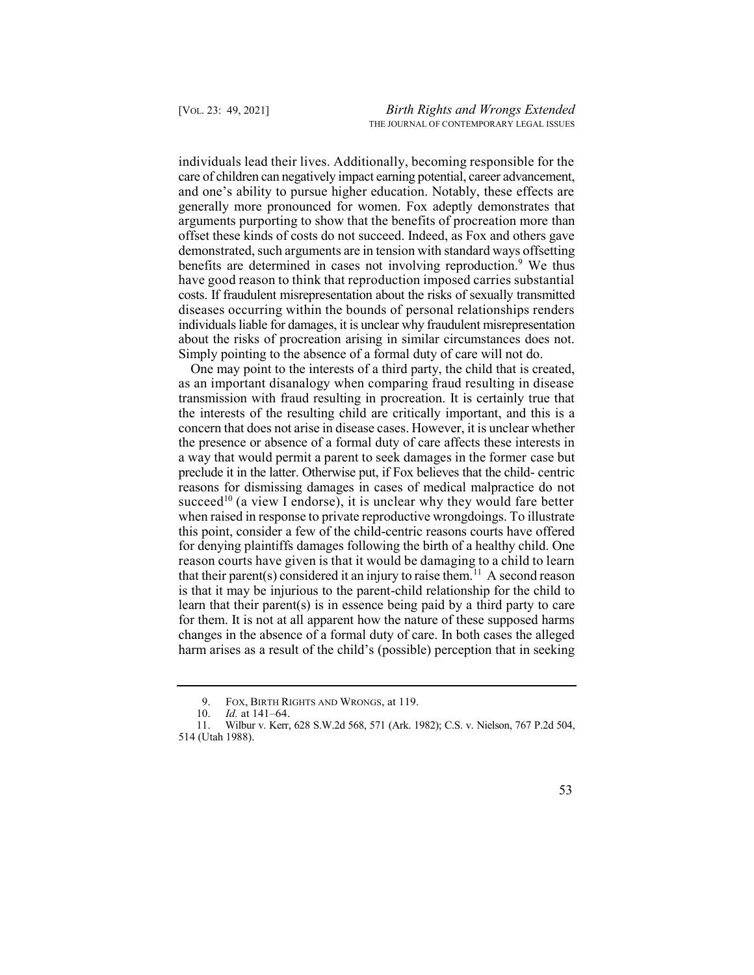individuals lead their lives. Additionally, becoming responsible for the care of children can negatively impact earning potential, career advancement, and one's ability to pursue higher education. Notably, these effects are generally more pronounced for women. Fox adeptly demonstrates that benefits are determined in cases not involving reproduction.<sup>9</sup> We thus about the risks of procreation arising in similar circumstances does not. arguments purporting to show that the benefits of procreation more than offset these kinds of costs do not succeed. Indeed, as Fox and others gave demonstrated, such arguments are in tension with standard ways offsetting have good reason to think that reproduction imposed carries substantial costs. If fraudulent misrepresentation about the risks of sexually transmitted diseases occurring within the bounds of personal relationships renders individuals liable for damages, it is unclear why fraudulent misrepresentation Simply pointing to the absence of a formal duty of care will not do.

 One may point to the interests of a third party, the child that is created, as an important disanalogy when comparing fraud resulting in disease transmission with fraud resulting in procreation. It is certainly true that succeed<sup>10</sup> (a view I endorse), it is unclear why they would fare better that their parent(s) considered it an injury to raise them.<sup>11</sup> A second reason the interests of the resulting child are critically important, and this is a concern that does not arise in disease cases. However, it is unclear whether the presence or absence of a formal duty of care affects these interests in a way that would permit a parent to seek damages in the former case but preclude it in the latter. Otherwise put, if Fox believes that the child- centric reasons for dismissing damages in cases of medical malpractice do not when raised in response to private reproductive wrongdoings. To illustrate this point, consider a few of the child-centric reasons courts have offered for denying plaintiffs damages following the birth of a healthy child. One reason courts have given is that it would be damaging to a child to learn is that it may be injurious to the parent-child relationship for the child to learn that their parent(s) is in essence being paid by a third party to care for them. It is not at all apparent how the nature of these supposed harms changes in the absence of a formal duty of care. In both cases the alleged harm arises as a result of the child's (possible) perception that in seeking

 9. FOX, BIRTH RIGHTS AND WRONGS, at 119.

<sup>10.</sup> *Id.* at 141–64.

 11. Wilbur v. Kerr, 628 S.W.2d 568, 571 (Ark. 1982); C.S. v. Nielson, 767 P.2d 504, 514 (Utah 1988).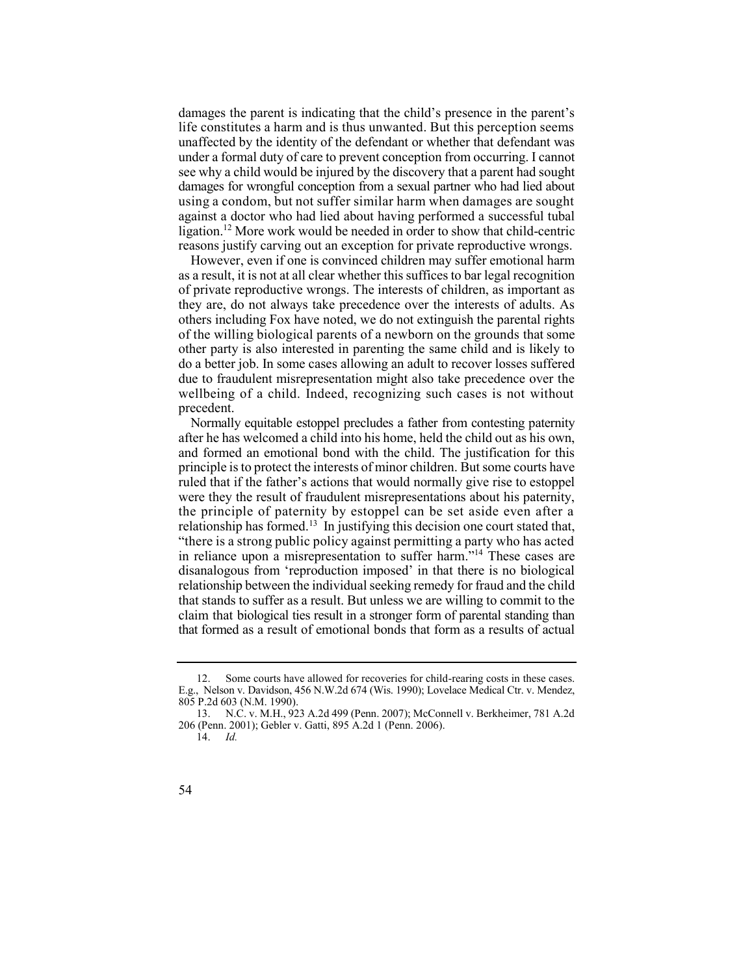damages the parent is indicating that the child's presence in the parent's life constitutes a harm and is thus unwanted. But this perception seems under a formal duty of care to prevent conception from occurring. I cannot ligation.<sup>12</sup> More work would be needed in order to show that child-centric unaffected by the identity of the defendant or whether that defendant was see why a child would be injured by the discovery that a parent had sought damages for wrongful conception from a sexual partner who had lied about using a condom, but not suffer similar harm when damages are sought against a doctor who had lied about having performed a successful tubal reasons justify carving out an exception for private reproductive wrongs.

 However, even if one is convinced children may suffer emotional harm as a result, it is not at all clear whether this suffices to bar legal recognition of private reproductive wrongs. The interests of children, as important as they are, do not always take precedence over the interests of adults. As of the willing biological parents of a newborn on the grounds that some other party is also interested in parenting the same child and is likely to do a better job. In some cases allowing an adult to recover losses suffered due to fraudulent misrepresentation might also take precedence over the wellbeing of a child. Indeed, recognizing such cases is not without others including Fox have noted, we do not extinguish the parental rights precedent.

 Normally equitable estoppel precludes a father from contesting paternity after he has welcomed a child into his home, held the child out as his own, relationship has formed.<sup>13</sup> In justifying this decision one court stated that, in reliance upon a misrepresentation to suffer harm."14 These cases are and formed an emotional bond with the child. The justification for this principle is to protect the interests of minor children. But some courts have ruled that if the father's actions that would normally give rise to estoppel were they the result of fraudulent misrepresentations about his paternity, the principle of paternity by estoppel can be set aside even after a "there is a strong public policy against permitting a party who has acted disanalogous from 'reproduction imposed' in that there is no biological relationship between the individual seeking remedy for fraud and the child that stands to suffer as a result. But unless we are willing to commit to the claim that biological ties result in a stronger form of parental standing than that formed as a result of emotional bonds that form as a results of actual

<sup>14.</sup> *Id.* 



 12. Some courts have allowed for recoveries for child-rearing costs in these cases. E.g., Nelson v. Davidson, 456 N.W.2d 674 (Wis. 1990); Lovelace Medical Ctr. v. Mendez, 805 P.2d 603 (N.M. 1990).

 13. N.C. v. M.H., 923 A.2d 499 (Penn. 2007); McConnell v. Berkheimer, 781 A.2d 206 (Penn. 2001); Gebler v. Gatti, 895 A.2d 1 (Penn. 2006).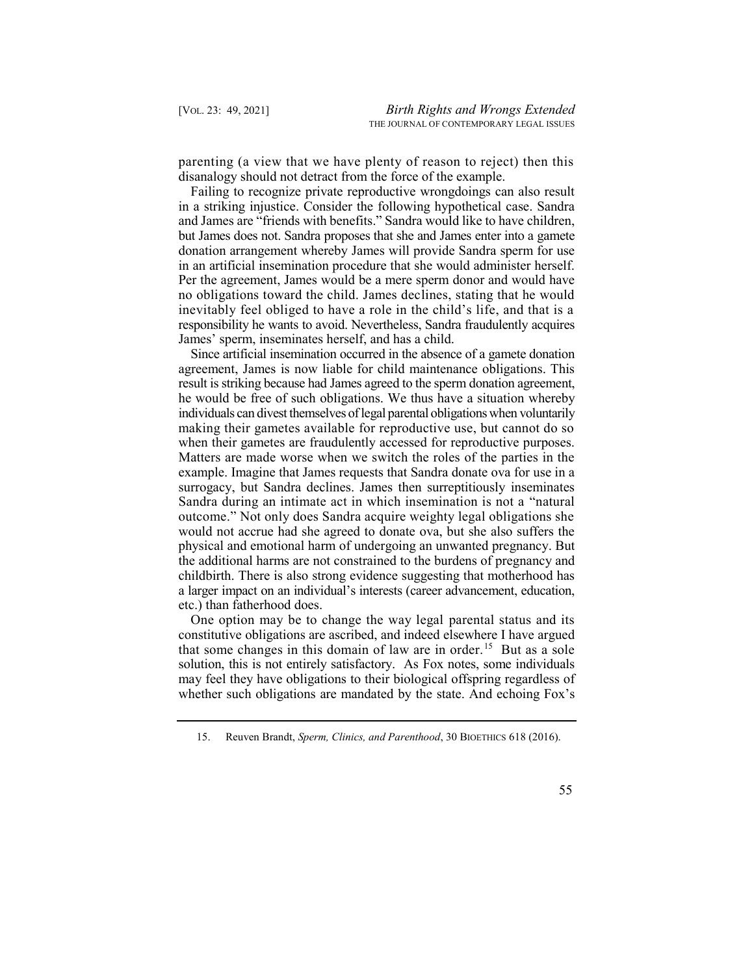parenting (a view that we have plenty of reason to reject) then this disanalogy should not detract from the force of the example.

 Failing to recognize private reproductive wrongdoings can also result in a striking injustice. Consider the following hypothetical case. Sandra but James does not. Sandra proposes that she and James enter into a gamete donation arrangement whereby James will provide Sandra sperm for use in an artificial insemination procedure that she would administer herself. Per the agreement, James would be a mere sperm donor and would have no obligations toward the child. James declines, stating that he would inevitably feel obliged to have a role in the child's life, and that is a responsibility he wants to avoid. Nevertheless, Sandra fraudulently acquires and James are "friends with benefits." Sandra would like to have children, James' sperm, inseminates herself, and has a child.

 Since artificial insemination occurred in the absence of a gamete donation agreement, James is now liable for child maintenance obligations. This result is striking because had James agreed to the sperm donation agreement, individuals can divest themselves of legal parental obligations when voluntarily making their gametes available for reproductive use, but cannot do so when their gametes are fraudulently accessed for reproductive purposes. Matters are made worse when we switch the roles of the parties in the example. Imagine that James requests that Sandra donate ova for use in a surrogacy, but Sandra declines. James then surreptitiously inseminates Sandra during an intimate act in which insemination is not a "natural outcome." Not only does Sandra acquire weighty legal obligations she physical and emotional harm of undergoing an unwanted pregnancy. But the additional harms are not constrained to the burdens of pregnancy and childbirth. There is also strong evidence suggesting that motherhood has a larger impact on an individual's interests (career advancement, education, he would be free of such obligations. We thus have a situation whereby would not accrue had she agreed to donate ova, but she also suffers the etc.) than fatherhood does.

 One option may be to change the way legal parental status and its that some changes in this domain of law are in order.<sup>15</sup> But as a sole constitutive obligations are ascribed, and indeed elsewhere I have argued solution, this is not entirely satisfactory. As Fox notes, some individuals may feel they have obligations to their biological offspring regardless of whether such obligations are mandated by the state. And echoing Fox's

 15. Reuven Brandt, *Sperm, Clinics, and Parenthood*, 30 BIOETHICS 618 (2016).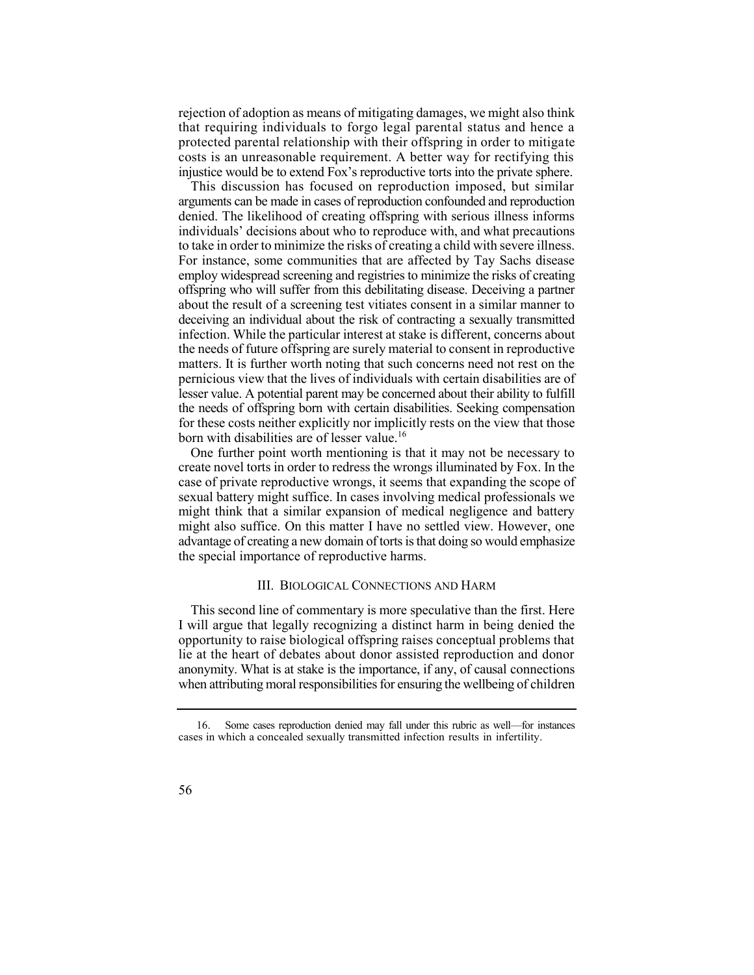rejection of adoption as means of mitigating damages, we might also think that requiring individuals to forgo legal parental status and hence a protected parental relationship with their offspring in order to mitigate costs is an unreasonable requirement. A better way for rectifying this injustice would be to extend Fox's reproductive torts into the private sphere.

 This discussion has focused on reproduction imposed, but similar arguments can be made in cases of reproduction confounded and reproduction denied. The likelihood of creating offspring with serious illness informs individuals' decisions about who to reproduce with, and what precautions to take in order to minimize the risks of creating a child with severe illness. For instance, some communities that are affected by Tay Sachs disease employ widespread screening and registries to minimize the risks of creating offspring who will suffer from this debilitating disease. Deceiving a partner about the result of a screening test vitiates consent in a similar manner to deceiving an individual about the risk of contracting a sexually transmitted infection. While the particular interest at stake is different, concerns about the needs of future offspring are surely material to consent in reproductive matters. It is further worth noting that such concerns need not rest on the pernicious view that the lives of individuals with certain disabilities are of lesser value. A potential parent may be concerned about their ability to fulfill the needs of offspring born with certain disabilities. Seeking compensation for these costs neither explicitly nor implicitly rests on the view that those born with disabilities are of lesser value.<sup>16</sup>

 One further point worth mentioning is that it may not be necessary to create novel torts in order to redress the wrongs illuminated by Fox. In the might think that a similar expansion of medical negligence and battery might also suffice. On this matter I have no settled view. However, one advantage of creating a new domain of torts is that doing so would emphasize case of private reproductive wrongs, it seems that expanding the scope of sexual battery might suffice. In cases involving medical professionals we the special importance of reproductive harms.

#### III. BIOLOGICAL CONNECTIONS AND HARM

 This second line of commentary is more speculative than the first. Here I will argue that legally recognizing a distinct harm in being denied the opportunity to raise biological offspring raises conceptual problems that lie at the heart of debates about donor assisted reproduction and donor when attributing moral responsibilities for ensuring the wellbeing of children anonymity. What is at stake is the importance, if any, of causal connections

 16. Some cases reproduction denied may fall under this rubric as well—for instances cases in which a concealed sexually transmitted infection results in infertility.

<sup>56</sup>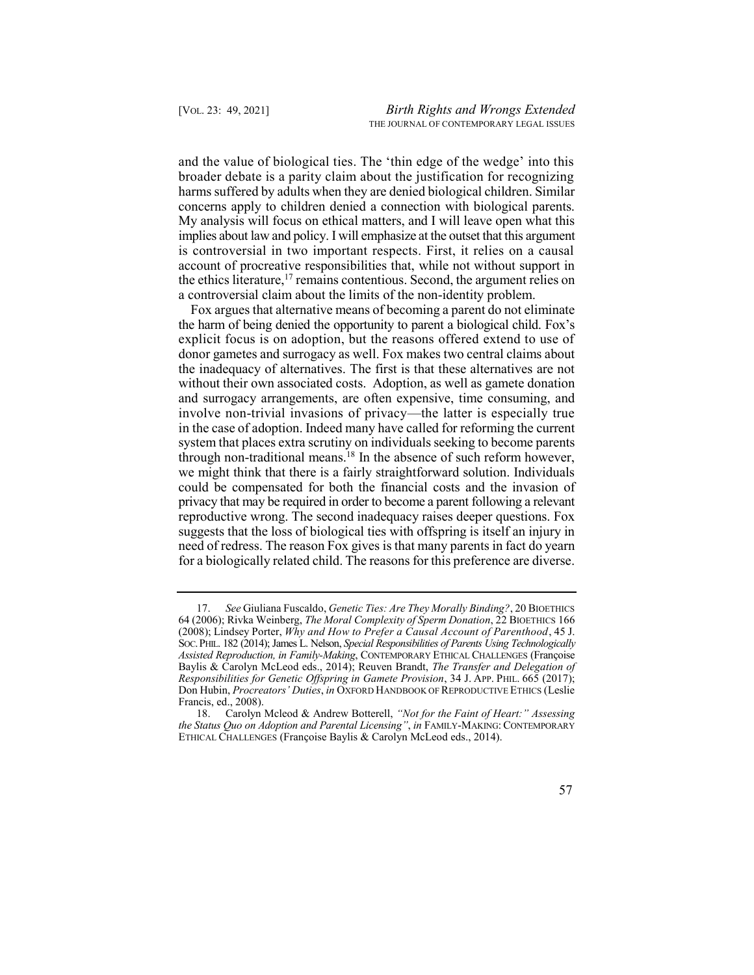and the value of biological ties. The 'thin edge of the wedge' into this broader debate is a parity claim about the justification for recognizing harms suffered by adults when they are denied biological children. Similar the ethics literature,<sup>17</sup> remains contentious. Second, the argument relies on concerns apply to children denied a connection with biological parents. My analysis will focus on ethical matters, and I will leave open what this implies about law and policy. I will emphasize at the outset that this argument is controversial in two important respects. First, it relies on a causal account of procreative responsibilities that, while not without support in a controversial claim about the limits of the non-identity problem.

<span id="page-9-0"></span> Fox argues that alternative means of becoming a parent do not eliminate the harm of being denied the opportunity to parent a biological child. Fox's explicit focus is on adoption, but the reasons offered extend to use of donor gametes and surrogacy as well. Fox makes two central claims about the inadequacy of alternatives. The first is that these alternatives are not without their own associated costs. Adoption, as well as gamete donation through non-traditional means.<sup>18</sup> In the absence of such reform however, and surrogacy arrangements, are often expensive, time consuming, and involve non-trivial invasions of privacy—the latter is especially true in the case of adoption. Indeed many have called for reforming the current system that places extra scrutiny on individuals seeking to become parents we might think that there is a fairly straightforward solution. Individuals could be compensated for both the financial costs and the invasion of privacy that may be required in order to become a parent following a relevant reproductive wrong. The second inadequacy raises deeper questions. Fox suggests that the loss of biological ties with offspring is itself an injury in need of redress. The reason Fox gives is that many parents in fact do yearn for a biologically related child. The reasons for this preference are diverse.

 17. *See* Giuliana Fuscaldo, *Genetic Ties: Are They Morally Binding?*, 20 BIOETHICS 64 (2006); Rivka Weinberg, *The Moral Complexity of Sperm Donation*, 22 BIOETHICS 166 (2008); Lindsey Porter, *Why and How to Prefer a Causal Account of Parenthood*, 45 J. SOC. PHIL. 182 (2014); James L. Nelson, *Special Responsibilities of Parents Using Technologically*  **Assisted Reproduction, in Family-Making, CONTEMPORARY ETHICAL CHALLENGES (Françoise** Baylis & Carolyn McLeod eds., 2014); Reuven Brandt, *The Transfer and Delegation of Responsibilities for Genetic Offspring in Gamete Provision*, 34 J. APP. PHIL. 665 (2017); Don Hubin, *Procreators' Duties*, *in* OXFORD HANDBOOK OF REPRODUCTIVE ETHICS (Leslie Francis, ed., 2008).

 18. Carolyn Mcleod & Andrew Botterell, *"Not for the Faint of Heart:" Assessing the Status Quo on Adoption and Parental Licensing"*, *in* FAMILY-MAKING: CONTEMPORARY ETHICAL CHALLENGES (Franҫoise Baylis & Carolyn McLeod eds., 2014).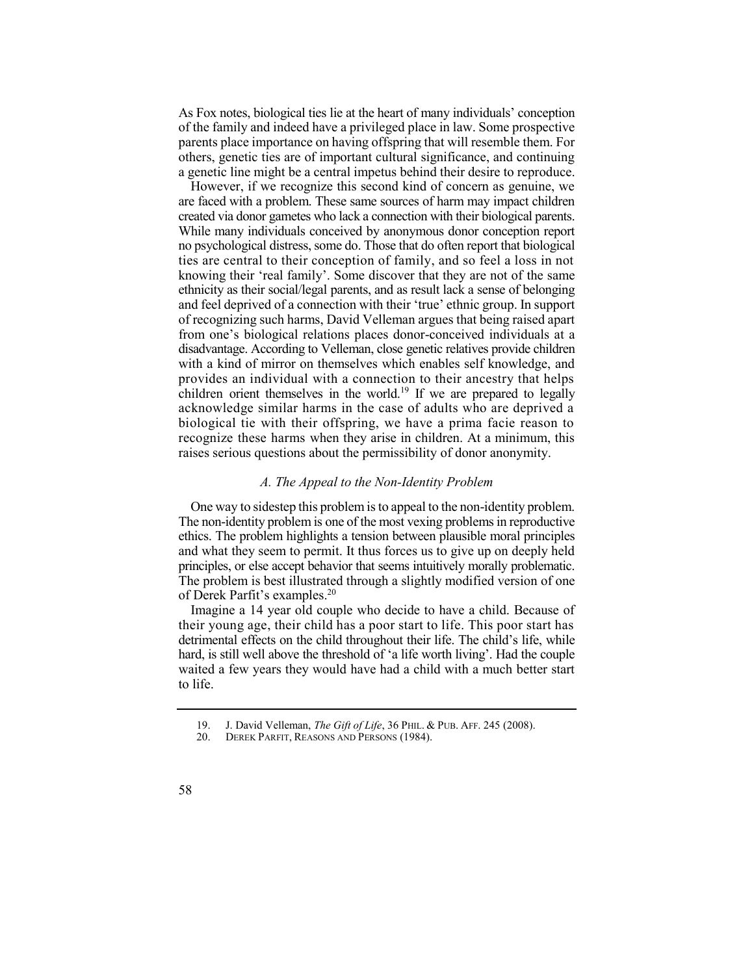As Fox notes, biological ties lie at the heart of many individuals' conception of the family and indeed have a privileged place in law. Some prospective parents place importance on having offspring that will resemble them. For others, genetic ties are of important cultural significance, and continuing a genetic line might be a central impetus behind their desire to reproduce.

 However, if we recognize this second kind of concern as genuine, we are faced with a problem. These same sources of harm may impact children created via donor gametes who lack a connection with their biological parents. While many individuals conceived by anonymous donor conception report no psychological distress, some do. Those that do often report that biological ties are central to their conception of family, and so feel a loss in not children orient themselves in the world.<sup>19</sup> If we are prepared to legally knowing their 'real family'. Some discover that they are not of the same ethnicity as their social/legal parents, and as result lack a sense of belonging and feel deprived of a connection with their 'true' ethnic group. In support of recognizing such harms, David Velleman argues that being raised apart from one's biological relations places donor-conceived individuals at a disadvantage. According to Velleman, close genetic relatives provide children with a kind of mirror on themselves which enables self knowledge, and provides an individual with a connection to their ancestry that helps acknowledge similar harms in the case of adults who are deprived a biological tie with their offspring, we have a prima facie reason to recognize these harms when they arise in children. At a minimum, this raises serious questions about the permissibility of donor anonymity.

#### *A. The Appeal to the Non-Identity Problem*

 One way to sidestep this problem is to appeal to the non-identity problem. The non-identity problem is one of the most vexing problems in reproductive ethics. The problem highlights a tension between plausible moral principles and what they seem to permit. It thus forces us to give up on deeply held principles, or else accept behavior that seems intuitively morally problematic. The problem is best illustrated through a slightly modified version of one of Derek Parfit's [examples.](https://examples.20)<sup>20</sup>

 Imagine a 14 year old couple who decide to have a child. Because of their young age, their child has a poor start to life. This poor start has detrimental effects on the child throughout their life. The child's life, while waited a few years they would have had a child with a much better start hard, is still well above the threshold of 'a life worth living'. Had the couple to life.

 19. J. David Velleman, *The Gift of Life*, 36 PHIL. & PUB. AFF. 245 (2008).

<sup>20.</sup> DEREK PARFIT, REASONS AND PERSONS (1984).

<sup>58</sup>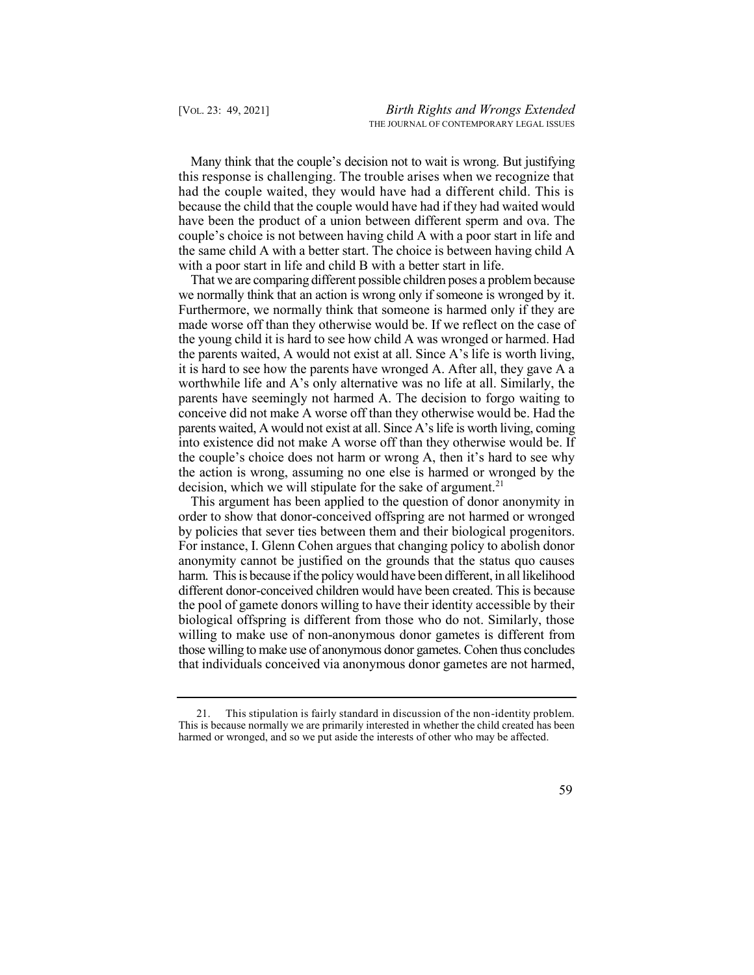Many think that the couple's decision not to wait is wrong. But justifying this response is challenging. The trouble arises when we recognize that had the couple waited, they would have had a different child. This is because the child that the couple would have had if they had waited would have been the product of a union between different sperm and ova. The couple's choice is not between having child A with a poor start in life and the same child A with a better start. The choice is between having child A with a poor start in life and child B with a better start in life.

 That we are comparing different possible children poses a problem because we normally think that an action is wrong only if someone is wronged by it. Furthermore, we normally think that someone is harmed only if they are made worse off than they otherwise would be. If we reflect on the case of the young child it is hard to see how child A was wronged or harmed. Had decision, which we will stipulate for the sake of argument.<sup>21</sup> the parents waited, A would not exist at all. Since A's life is worth living, it is hard to see how the parents have wronged A. After all, they gave A a worthwhile life and A's only alternative was no life at all. Similarly, the parents have seemingly not harmed A. The decision to forgo waiting to conceive did not make A worse off than they otherwise would be. Had the parents waited, A would not exist at all. Since A'slife is worth living, coming into existence did not make A worse off than they otherwise would be. If the couple's choice does not harm or wrong A, then it's hard to see why the action is wrong, assuming no one else is harmed or wronged by the

 This argument has been applied to the question of donor anonymity in order to show that donor-conceived offspring are not harmed or wronged by policies that sever ties between them and their biological progenitors. For instance, I. Glenn Cohen argues that changing policy to abolish donor anonymity cannot be justified on the grounds that the status quo causes harm. This is because if the policy would have been different, in all likelihood different donor-conceived children would have been created. This is because the pool of gamete donors willing to have their identity accessible by their biological offspring is different from those who do not. Similarly, those willing to make use of non-anonymous donor gametes is different from those willing to make use of anonymous donor gametes. Cohen thus concludes that individuals conceived via anonymous donor gametes are not harmed,

 21. This stipulation is fairly standard in discussion of the non-identity problem. This is because normally we are primarily interested in whether the child created has been harmed or wronged, and so we put aside the interests of other who may be affected.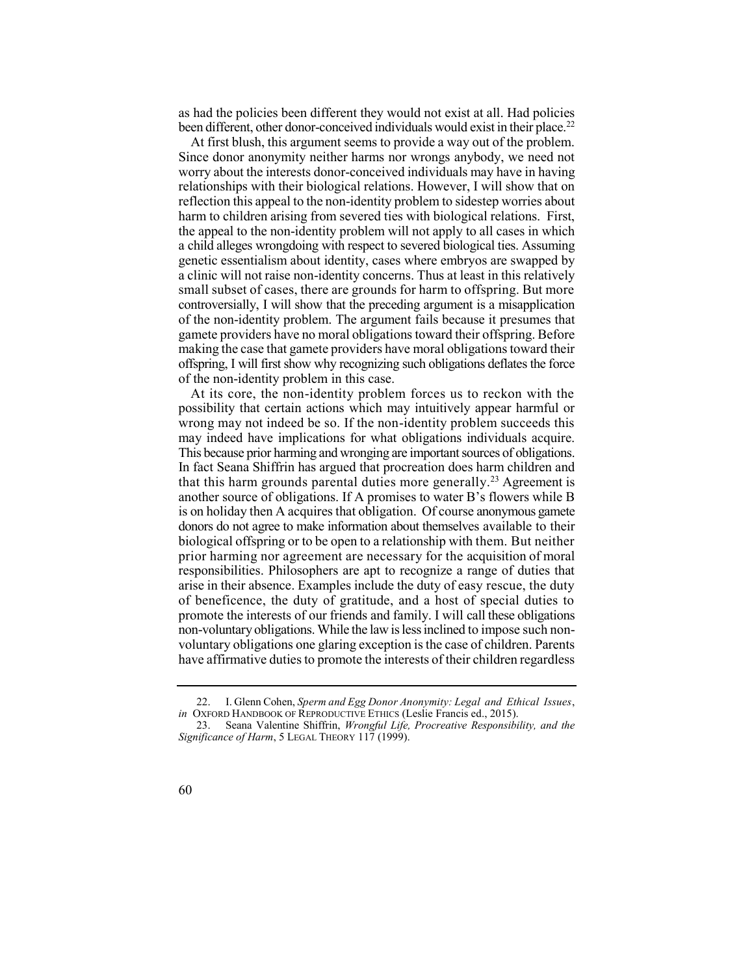been different, other donor-conceived individuals would exist in their place.<sup>22</sup> as had the policies been different they would not exist at all. Had policies

 At first blush, this argument seems to provide a way out of the problem. Since donor anonymity neither harms nor wrongs anybody, we need not worry about the interests donor-conceived individuals may have in having relationships with their biological relations. However, I will show that on reflection this appeal to the non-identity problem to sidestep worries about harm to children arising from severed ties with biological relations. First, the appeal to the non-identity problem will not apply to all cases in which a child alleges wrongdoing with respect to severed biological ties. Assuming a clinic will not raise non-identity concerns. Thus at least in this relatively small subset of cases, there are grounds for harm to offspring. But more controversially, I will show that the preceding argument is a misapplication of the non-identity problem. The argument fails because it presumes that making the case that gamete providers have moral obligations toward their offspring, I will first show why recognizing such obligations deflates the force genetic essentialism about identity, cases where embryos are swapped by gamete providers have no moral obligations toward their offspring. Before of the non-identity problem in this case.

 At its core, the non-identity problem forces us to reckon with the possibility that certain actions which may intuitively appear harmful or that this harm grounds parental duties more generally.<sup>23</sup> Agreement is wrong may not indeed be so. If the non-identity problem succeeds this may indeed have implications for what obligations individuals acquire. This because prior harming and wronging are important sources of obligations. In fact Seana Shiffrin has argued that procreation does harm children and another source of obligations. If A promises to water B's flowers while B is on holiday then A acquires that obligation. Of course anonymous gamete donors do not agree to make information about themselves available to their biological offspring or to be open to a relationship with them. But neither prior harming nor agreement are necessary for the acquisition of moral responsibilities. Philosophers are apt to recognize a range of duties that arise in their absence. Examples include the duty of easy rescue, the duty of beneficence, the duty of gratitude, and a host of special duties to promote the interests of our friends and family. I will call these obligations non-voluntary obligations. While the law is less inclined to impose such nonvoluntary obligations one glaring exception is the case of children. Parents have affirmative duties to promote the interests of their children regardless

 23. Seana Valentine Shiffrin, *Wrongful Life, Procreative Responsibility, and the Significance of Harm*, 5 LEGAL THEORY 117 (1999).



 22. I. Glenn Cohen, *Sperm and Egg Donor Anonymity: Legal and Ethical Issues*, *in* OXFORD HANDBOOK OF REPRODUCTIVE ETHICS (Leslie Francis ed., 2015).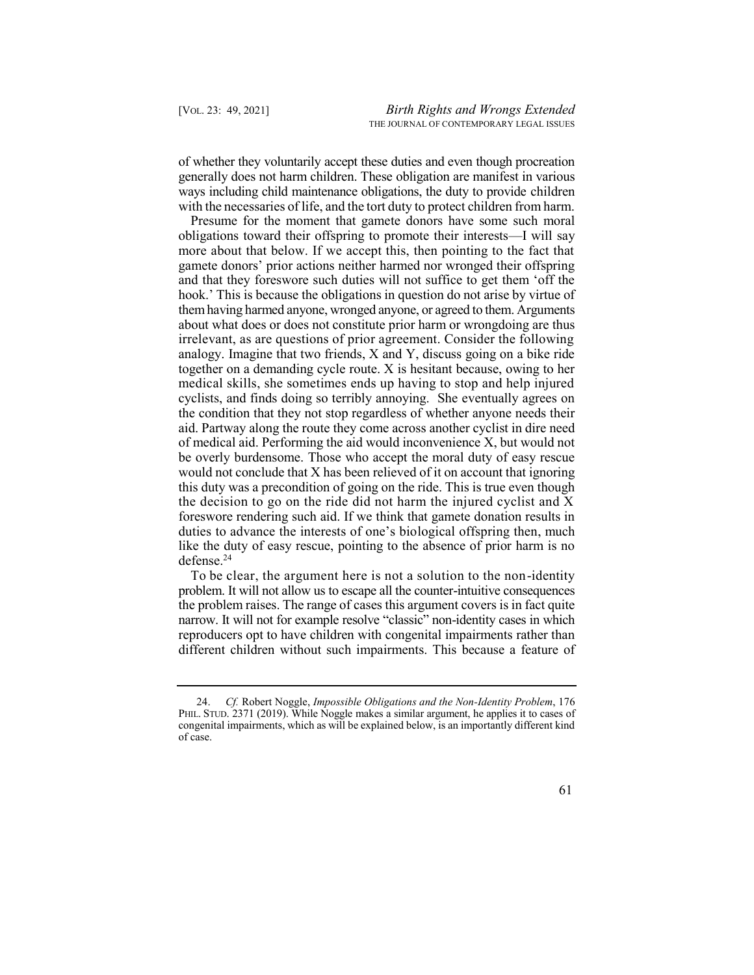of whether they voluntarily accept these duties and even though procreation generally does not harm children. These obligation are manifest in various ways including child maintenance obligations, the duty to provide children with the necessaries of life, and the tort duty to protect children from harm.

 Presume for the moment that gamete donors have some such moral obligations toward their offspring to promote their interests—I will say more about that below. If we accept this, then pointing to the fact that gamete donors' prior actions neither harmed nor wronged their offspring and that they foreswore such duties will not suffice to get them 'off the hook.' This is because the obligations in question do not arise by virtue of them having harmed anyone, wronged anyone, or agreed to them. Arguments about what does or does not constitute prior harm or wrongdoing are thus irrelevant, as are questions of prior agreement. Consider the following analogy. Imagine that two friends, X and Y, discuss going on a bike ride together on a demanding cycle route. X is hesitant because, owing to her medical skills, she sometimes ends up having to stop and help injured cyclists, and finds doing so terribly annoying. She eventually agrees on the condition that they not stop regardless of whether anyone needs their aid. Partway along the route they come across another cyclist in dire need of medical aid. Performing the aid would inconvenience X, but would not be overly burdensome. Those who accept the moral duty of easy rescue would not conclude that X has been relieved of it on account that ignoring this duty was a precondition of going on the ride. This is true even though the decision to go on the ride did not harm the injured cyclist and X foreswore rendering such aid. If we think that gamete donation results in duties to advance the interests of one's biological offspring then, much like the duty of easy rescue, pointing to the absence of prior harm is no [defense.24](https://defense.24)

 To be clear, the argument here is not a solution to the non-identity problem. It will not allow us to escape all the counter-intuitive consequences the problem raises. The range of cases this argument covers is in fact quite narrow. It will not for example resolve "classic" non-identity cases in which reproducers opt to have children with congenital impairments rather than different children without such impairments. This because a feature of

 24. *Cf.* Robert Noggle, *Impossible Obligations and the Non-Identity Problem*, 176 PHIL. STUD. 2371 (2019). While Noggle makes a similar argument, he applies it to cases of congenital impairments, which as will be explained below, is an importantly different kind of case.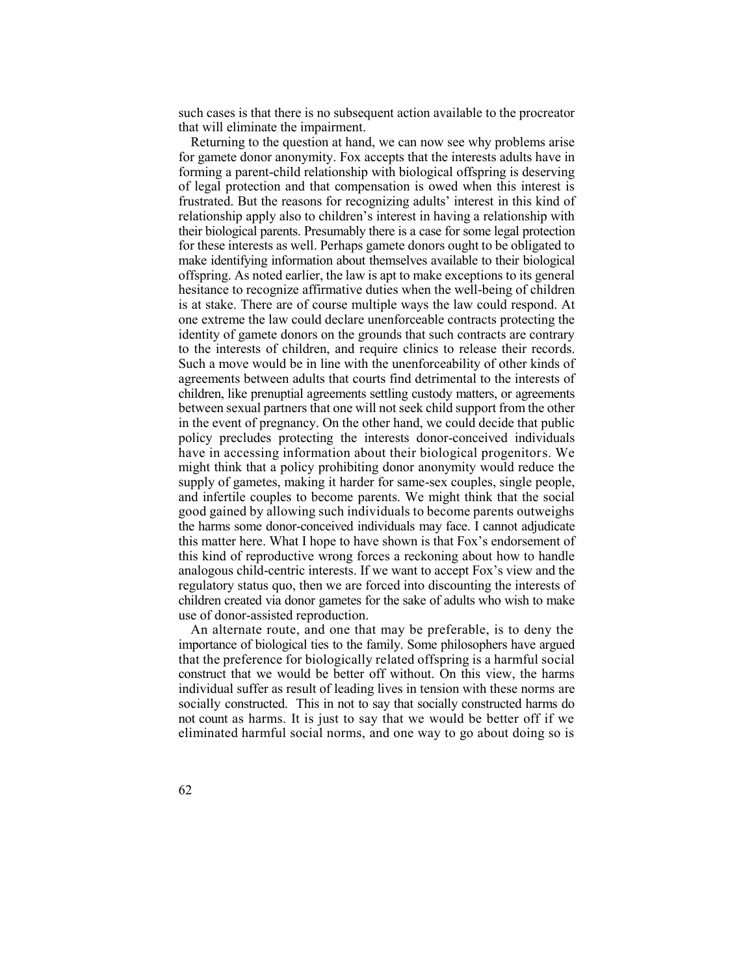such cases is that there is no subsequent action available to the procreator that will eliminate the impairment.

 Returning to the question at hand, we can now see why problems arise forming a parent-child relationship with biological offspring is deserving of legal protection and that compensation is owed when this interest is frustrated. But the reasons for recognizing adults' interest in this kind of relationship apply also to children's interest in having a relationship with their biological parents. Presumably there is a case for some legal protection make identifying information about themselves available to their biological offspring. As noted earlier, the law is apt to make exceptions to its general is at stake. There are of course multiple ways the law could respond. At identity of gamete donors on the grounds that such contracts are contrary to the interests of children, and require clinics to release their records. Such a move would be in line with the unenforceability of other kinds of children, like prenuptial agreements settling custody matters, or agreements between sexual partners that one will not seek child support from the other in the event of pregnancy. On the other hand, we could decide that public policy precludes protecting the interests donor-conceived individuals have in accessing information about their biological progenitors. We might think that a policy prohibiting donor anonymity would reduce the supply of gametes, making it harder for same-sex couples, single people, and infertile couples to become parents. We might think that the social good gained by allowing such individuals to become parents outweighs the harms some donor-conceived individuals may face. I cannot adjudicate this matter here. What I hope to have shown is that Fox's endorsement of this kind of reproductive wrong forces a reckoning about how to handle analogous child-centric interests. If we want to accept Fox's view and the children created via donor gametes for the sake of adults who wish to make for gamete donor anonymity. Fox accepts that the interests adults have in for these interests as well. Perhaps gamete donors ought to be obligated to hesitance to recognize affirmative duties when the well-being of children one extreme the law could declare unenforceable contracts protecting the agreements between adults that courts find detrimental to the interests of regulatory status quo, then we are forced into discounting the interests of use of donor-assisted reproduction.

 An alternate route, and one that may be preferable, is to deny the importance of biological ties to the family. Some philosophers have argued that the preference for biologically related offspring is a harmful social construct that we would be better off without. On this view, the harms individual suffer as result of leading lives in tension with these norms are socially constructed. This in not to say that socially constructed harms do not count as harms. It is just to say that we would be better off if we eliminated harmful social norms, and one way to go about doing so is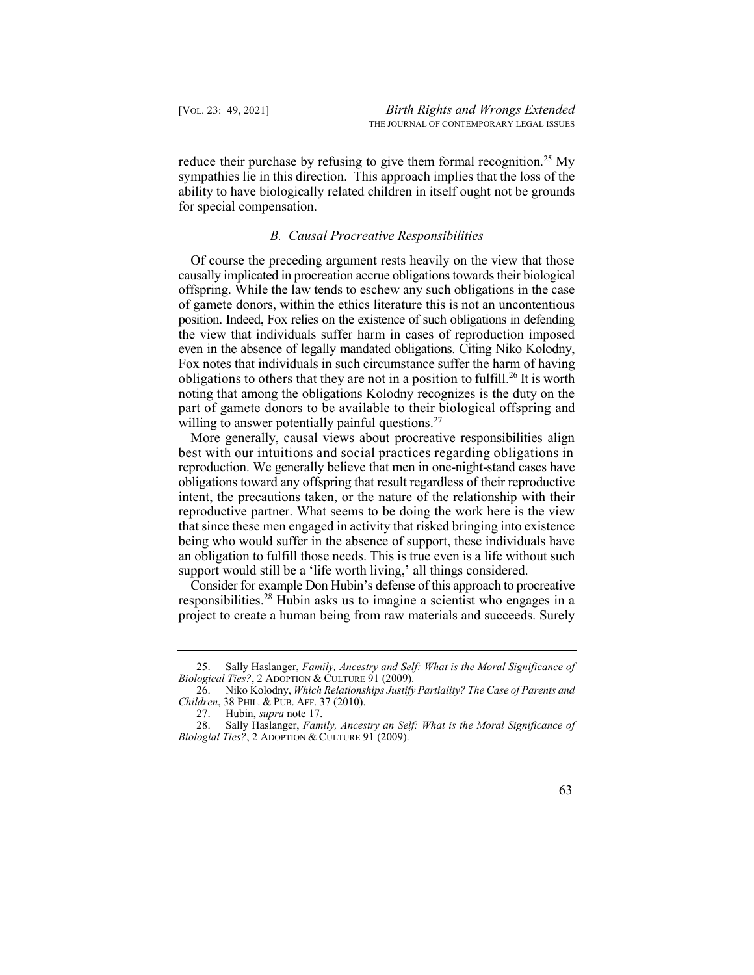reduce their purchase by refusing to give them formal recognition.<sup>25</sup> My sympathies lie in this direction. This approach implies that the loss of the ability to have biologically related children in itself ought not be grounds for special compensation.

#### *B. Causal Procreative Responsibilities*

 Of course the preceding argument rests heavily on the view that those causally implicated in procreation accrue obligations towards their biological obligations to others that they are not in a position to [fulfill.](https://fulfill.26) 26 It is worth offspring. While the law tends to eschew any such obligations in the case of gamete donors, within the ethics literature this is not an uncontentious position. Indeed, Fox relies on the existence of such obligations in defending the view that individuals suffer harm in cases of reproduction imposed even in the absence of legally mandated obligations. Citing Niko Kolodny, Fox notes that individuals in such circumstance suffer the harm of having noting that among the obligations Kolodny recognizes is the duty on the part of gamete donors to be available to their biological offspring and willing to answer potentially painful questions.<sup>27</sup>

 More generally, causal views about procreative responsibilities align best with our intuitions and social practices regarding obligations in obligations toward any offspring that result regardless of their reproductive intent, the precautions taken, or the nature of the relationship with their reproductive partner. What seems to be doing the work here is the view that since these men engaged in activity that risked bringing into existence an obligation to fulfill those needs. This is true even is a life without such support would still be a 'life worth living,' all things considered. reproduction. We generally believe that men in one-night-stand cases have being who would suffer in the absence of support, these individuals have

 Consider for example Don Hubin's defense of this approach to procreative responsibilities.<sup>28</sup> Hubin asks us to imagine a scientist who engages in a project to create a human being from raw materials and succeeds. Surely

 28. Sally Haslanger, *Family, Ancestry an Self: What is the Moral Significance of Biologial Ties?*, 2 ADOPTION & CULTURE 91 (2009).



 25. Sally Haslanger, *Family, Ancestry and Self: What is the Moral Significance of Biological Ties?*, 2 ADOPTION & CULTURE 91 (2009).

 26. Niko Kolodny, *Which Relationships Justify Partiality? The Case of Parents and Children*, 38 PHIL. & PUB. AFF. 37 (2010).

<sup>27.</sup> Hubin, *supra* not[e 17.](#page-9-0)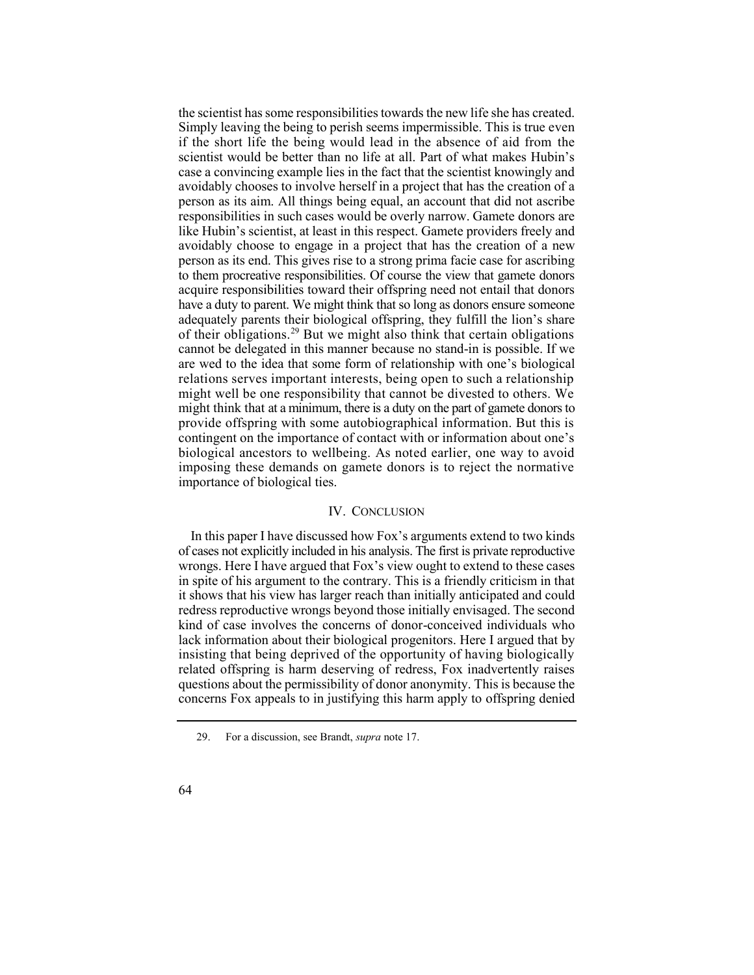the scientist has some responsibilities towards the new life she has created. Simply leaving the being to perish seems impermissible. This is true even if the short life the being would lead in the absence of aid from the scientist would be better than no life at all. Part of what makes Hubin's case a convincing example lies in the fact that the scientist knowingly and avoidably chooses to involve herself in a project that has the creation of a person as its aim. All things being equal, an account that did not ascribe responsibilities in such cases would be overly narrow. Gamete donors are like Hubin's scientist, at least in this respect. Gamete providers freely and avoidably choose to engage in a project that has the creation of a new person as its end. This gives rise to a strong prima facie case for ascribing of their obligations.<sup>29</sup> But we might also think that certain obligations contingent on the importance of contact with or information about one's biological ancestors to wellbeing. As noted earlier, one way to avoid imposing these demands on gamete donors is to reject the normative to them procreative responsibilities. Of course the view that gamete donors acquire responsibilities toward their offspring need not entail that donors have a duty to parent. We might think that so long as donors ensure someone adequately parents their biological offspring, they fulfill the lion's share cannot be delegated in this manner because no stand-in is possible. If we are wed to the idea that some form of relationship with one's biological relations serves important interests, being open to such a relationship might well be one responsibility that cannot be divested to others. We might think that at a minimum, there is a duty on the part of gamete donors to provide offspring with some autobiographical information. But this is importance of biological ties.

#### IV. CONCLUSION

 In this paper I have discussed how Fox's arguments extend to two kinds of cases not explicitly included in his analysis. The first is private reproductive wrongs. Here I have argued that Fox's view ought to extend to these cases in spite of his argument to the contrary. This is a friendly criticism in that it shows that his view has larger reach than initially anticipated and could redress reproductive wrongs beyond those initially envisaged. The second insisting that being deprived of the opportunity of having biologically related offspring is harm deserving of redress, Fox inadvertently raises questions about the permissibility of donor anonymity. This is because the concerns Fox appeals to in justifying this harm apply to offspring denied kind of case involves the concerns of donor-conceived individuals who lack information about their biological progenitors. Here I argued that by

 29. For a discussion, see Brandt, *supra* not[e 17.](#page-9-0) 

<sup>64</sup>